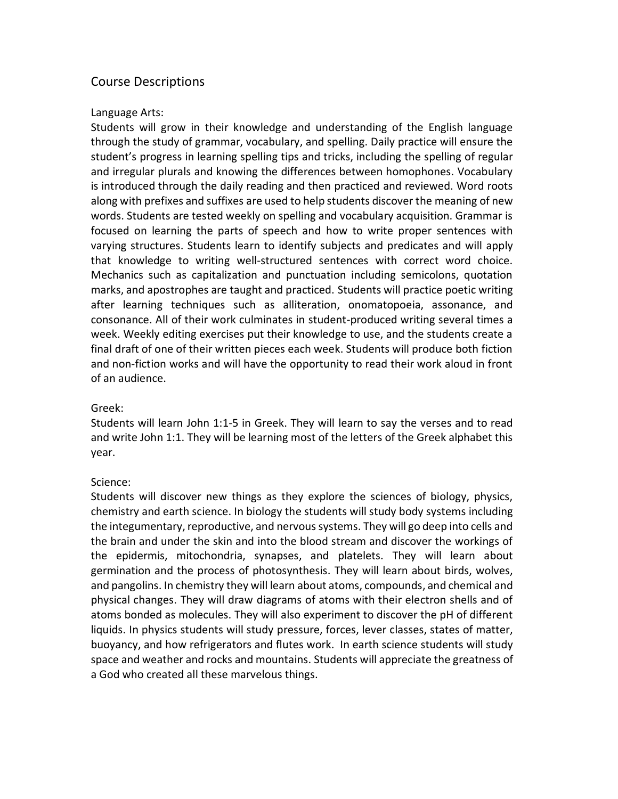# Course Descriptions

### Language Arts:

Students will grow in their knowledge and understanding of the English language through the study of grammar, vocabulary, and spelling. Daily practice will ensure the student's progress in learning spelling tips and tricks, including the spelling of regular and irregular plurals and knowing the differences between homophones. Vocabulary is introduced through the daily reading and then practiced and reviewed. Word roots along with prefixes and suffixes are used to help students discover the meaning of new words. Students are tested weekly on spelling and vocabulary acquisition. Grammar is focused on learning the parts of speech and how to write proper sentences with varying structures. Students learn to identify subjects and predicates and will apply that knowledge to writing well-structured sentences with correct word choice. Mechanics such as capitalization and punctuation including semicolons, quotation marks, and apostrophes are taught and practiced. Students will practice poetic writing after learning techniques such as alliteration, onomatopoeia, assonance, and consonance. All of their work culminates in student-produced writing several times a week. Weekly editing exercises put their knowledge to use, and the students create a final draft of one of their written pieces each week. Students will produce both fiction and non-fiction works and will have the opportunity to read their work aloud in front of an audience.

#### Greek:

Students will learn John 1:1-5 in Greek. They will learn to say the verses and to read and write John 1:1. They will be learning most of the letters of the Greek alphabet this year.

## Science:

Students will discover new things as they explore the sciences of biology, physics, chemistry and earth science. In biology the students will study body systems including the integumentary, reproductive, and nervous systems. They will go deep into cells and the brain and under the skin and into the blood stream and discover the workings of the epidermis, mitochondria, synapses, and platelets. They will learn about germination and the process of photosynthesis. They will learn about birds, wolves, and pangolins. In chemistry they will learn about atoms, compounds, and chemical and physical changes. They will draw diagrams of atoms with their electron shells and of atoms bonded as molecules. They will also experiment to discover the pH of different liquids. In physics students will study pressure, forces, lever classes, states of matter, buoyancy, and how refrigerators and flutes work. In earth science students will study space and weather and rocks and mountains. Students will appreciate the greatness of a God who created all these marvelous things.